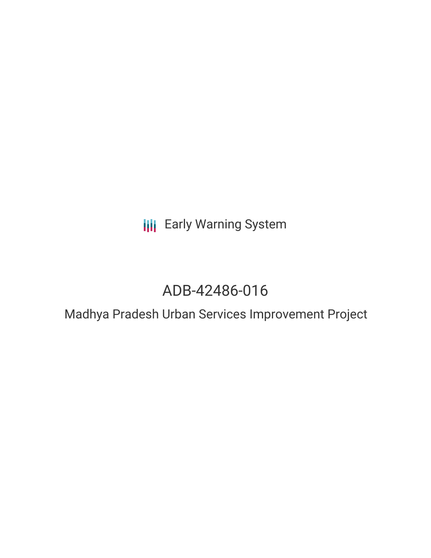# **III** Early Warning System

# ADB-42486-016

### Madhya Pradesh Urban Services Improvement Project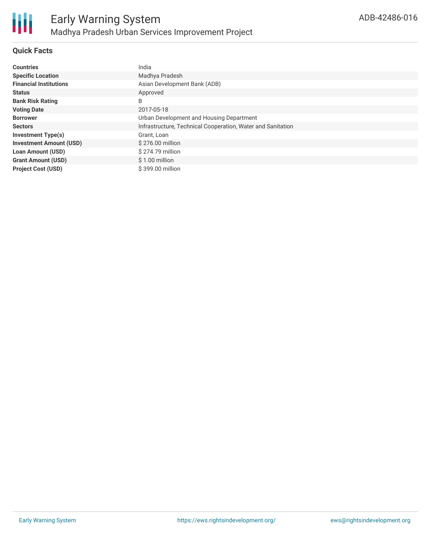

### **Quick Facts**

| <b>Countries</b>               | India                                                       |
|--------------------------------|-------------------------------------------------------------|
| <b>Specific Location</b>       | Madhya Pradesh                                              |
| <b>Financial Institutions</b>  | Asian Development Bank (ADB)                                |
| <b>Status</b>                  | Approved                                                    |
| <b>Bank Risk Rating</b>        | B                                                           |
| <b>Voting Date</b>             | 2017-05-18                                                  |
| <b>Borrower</b>                | Urban Development and Housing Department                    |
| <b>Sectors</b>                 | Infrastructure, Technical Cooperation, Water and Sanitation |
| <b>Investment Type(s)</b>      | Grant, Loan                                                 |
| <b>Investment Amount (USD)</b> | \$276.00 million                                            |
| <b>Loan Amount (USD)</b>       | \$274.79 million                                            |
| <b>Grant Amount (USD)</b>      | $$1.00$ million                                             |
| <b>Project Cost (USD)</b>      | \$399.00 million                                            |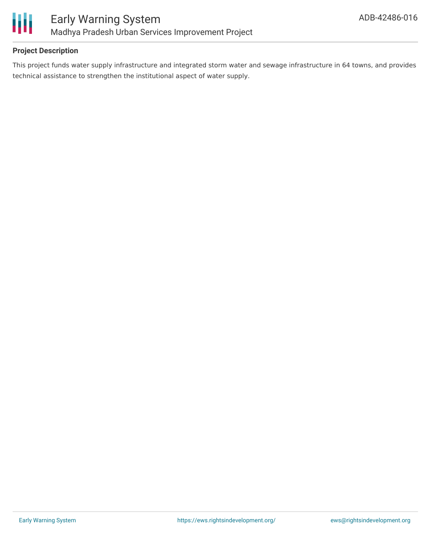

### **Project Description**

This project funds water supply infrastructure and integrated storm water and sewage infrastructure in 64 towns, and provides technical assistance to strengthen the institutional aspect of water supply.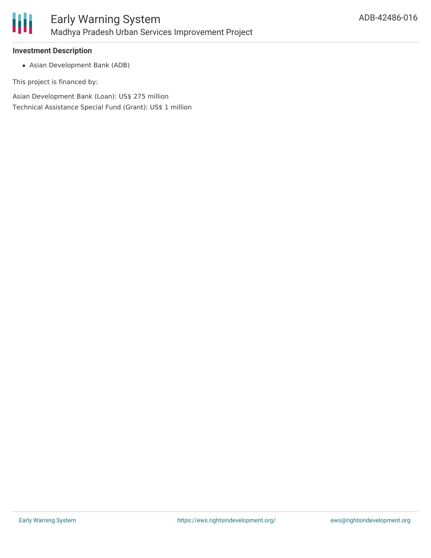

#### **Investment Description**

Asian Development Bank (ADB)

This project is financed by:

Asian Development Bank (Loan): US\$ 275 million Technical Assistance Special Fund (Grant): US\$ 1 million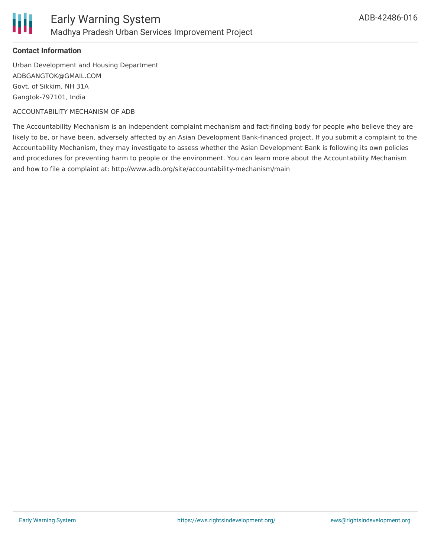

### **Contact Information**

Urban Development and Housing Department ADBGANGTOK@GMAIL.COM Govt. of Sikkim, NH 31A Gangtok-797101, India

ACCOUNTABILITY MECHANISM OF ADB

The Accountability Mechanism is an independent complaint mechanism and fact-finding body for people who believe they are likely to be, or have been, adversely affected by an Asian Development Bank-financed project. If you submit a complaint to the Accountability Mechanism, they may investigate to assess whether the Asian Development Bank is following its own policies and procedures for preventing harm to people or the environment. You can learn more about the Accountability Mechanism and how to file a complaint at: http://www.adb.org/site/accountability-mechanism/main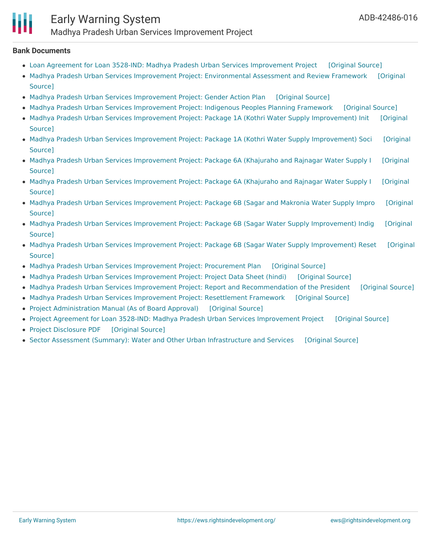

#### **Bank Documents**

- Loan Agreement for Loan 3528-IND: Madhya Pradesh Urban Services [Improvement](https://ewsdata.rightsindevelopment.org/files/documents/16/ADB-42486-016_NOgZyIp.pdf) Project [\[Original](https://www.adb.org/sites/default/files/project-documents/42486/42486-016-lna-en.pdf) Source]
- Madhya Pradesh Urban Services Improvement Project: [Environmental](https://www.adb.org/projects/documents/ind-42486-016-earf) Assessment and Review Framework [Original] Source]
- Madhya Pradesh Urban Services [Improvement](https://ewsdata.rightsindevelopment.org/files/documents/16/ADB-42486-016_wsbDU3i.pdf) Project: Gender Action Plan [\[Original](https://www.adb.org/sites/default/files/project-documents/42486/42486-016-gap-en.pdf) Source]
- Madhya Pradesh Urban Services [Improvement](https://ewsdata.rightsindevelopment.org/files/documents/16/ADB-42486-016_Zze6rIx.pdf) Project: Indigenous Peoples Planning Framework [\[Original](https://www.adb.org/projects/documents/ind-42486-016-ippf) Source]
- Madhya Pradesh Urban Services Improvement Project: Package 1A (Kothri Water Supply [Improvement\)](https://www.adb.org/projects/documents/ind-42486-016-iee-1) Init [Original Source]
- Madhya Pradesh Urban Services Improvement Project: Package 1A (Kothri Water Supply [Improvement\)](https://www.adb.org/projects/documents/ind-42486-016-rpddr) Soci [Original Source]
- Madhya Pradesh Urban Services [Improvement](https://www.adb.org/projects/documents/ind-42486-016-iee) Project: Package 6A (Khajuraho and Rajnagar Water Supply I [Original Source]
- Madhya Pradesh Urban Services [Improvement](https://www.adb.org/projects/documents/ind-42486-016-rp) Project: Package 6A (Khajuraho and Rajnagar Water Supply I [Original Source]
- Madhya Pradesh Urban Services [Improvement](https://www.adb.org/projects/documents/ind-42486-016-iee-0) Project: Package 6B (Sagar and Makronia Water Supply Impro [Original Source]
- Madhya Pradesh Urban Services Improvement Project: Package 6B (Sagar Water Supply [Improvement\)](https://www.adb.org/projects/documents/ind-42486-016-rpddr-1) Indig [Original Source]
- Madhya Pradesh Urban Services Improvement Project: Package 6B (Sagar Water Supply [Improvement\)](https://www.adb.org/projects/documents/ind-42486-016-rpddr-0) Reset [Original Source]
- Madhya Pradesh Urban Services [Improvement](https://ewsdata.rightsindevelopment.org/files/documents/16/ADB-42486-016_6uKZ7yh.pdf) Project: Procurement Plan [\[Original](https://www.adb.org/sites/default/files/project-documents/42486/42486-016-pp-en.pdf#page=60) Source]
- Madhya Pradesh Urban Services [Improvement](https://ewsdata.rightsindevelopment.org/files/documents/16/ADB-42486-016_RH50c1l.pdf) Project: Project Data Sheet (hindi) [\[Original](https://www.adb.org/sites/default/files/project-documents/42486/42486-016-pds-hi.pdf) Source]
- Madhya Pradesh Urban Services Improvement Project: Report and [Recommendation](https://ewsdata.rightsindevelopment.org/files/documents/16/ADB-42486-016_tuvKGWC.pdf) of the President [\[Original](https://www.adb.org/sites/default/files/project-documents/42486/42486-016-rrp-en.pdf) Source]
- Madhya Pradesh Urban Services [Improvement](https://ewsdata.rightsindevelopment.org/files/documents/16/ADB-42486-016_3tt3m0R.pdf) Project: Resettlement Framework [\[Original](https://www.adb.org/projects/documents/ind-42486-016-rf) Source]
- Project [Administration](https://ewsdata.rightsindevelopment.org/files/documents/16/ADB-42486-016_atiGQdP.pdf) Manual (As of Board Approval) [\[Original](https://www.adb.org/sites/default/files/project-documents/42486/42486-016-pam-en.pdf) Source]
- Project Agreement for Loan 3528-IND: Madhya Pradesh Urban Services [Improvement](https://ewsdata.rightsindevelopment.org/files/documents/16/ADB-42486-016_xM5S1wE.pdf) Project [\[Original](https://www.adb.org/sites/default/files/project-documents/42486/42486-016-pra-en.pdf) Source]
- Project [Disclosure](https://ewsdata.rightsindevelopment.org/files/documents/16/ADB-42486-016.pdf) PDF [\[Original](https://www.adb.org/printpdf/projects/42486-016/main) Source]
- Sector Assessment (Summary): Water and Other Urban [Infrastructure](https://ewsdata.rightsindevelopment.org/files/documents/16/ADB-42486-016_tSn7e2K.pdf) and Services [\[Original](https://www.adb.org/sites/default/files/linked-documents/42486-016-ssa.pdf) Source]